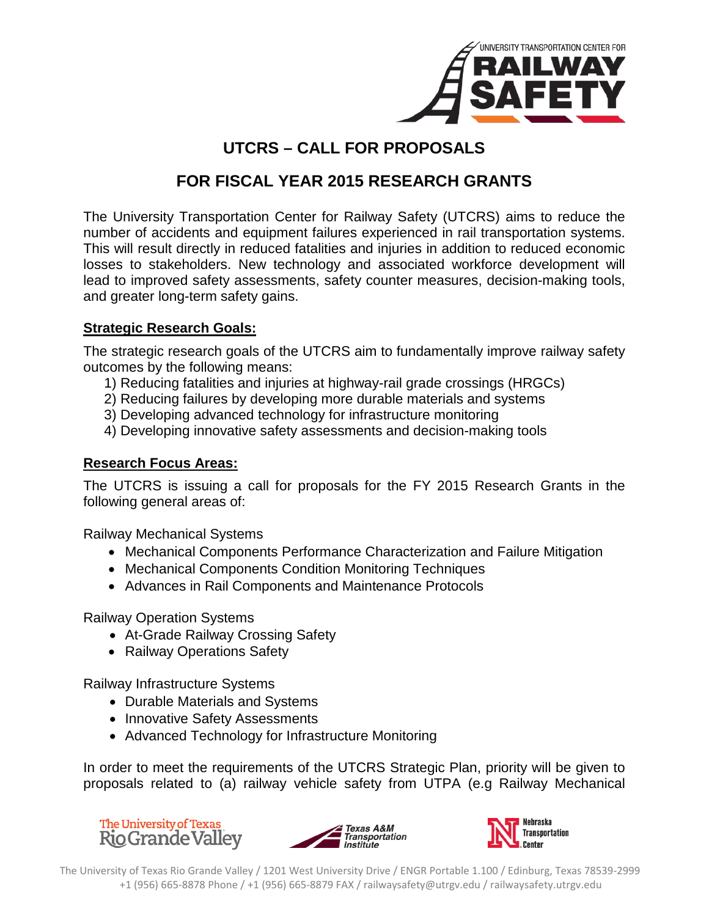

## **UTCRS – CALL FOR PROPOSALS**

# **FOR FISCAL YEAR 2015 RESEARCH GRANTS**

The University Transportation Center for Railway Safety (UTCRS) aims to reduce the number of accidents and equipment failures experienced in rail transportation systems. This will result directly in reduced fatalities and injuries in addition to reduced economic losses to stakeholders. New technology and associated workforce development will lead to improved safety assessments, safety counter measures, decision-making tools, and greater long-term safety gains.

## **Strategic Research Goals:**

The strategic research goals of the UTCRS aim to fundamentally improve railway safety outcomes by the following means:

- 1) Reducing fatalities and injuries at highway-rail grade crossings (HRGCs)
- 2) Reducing failures by developing more durable materials and systems
- 3) Developing advanced technology for infrastructure monitoring
- 4) Developing innovative safety assessments and decision-making tools

## **Research Focus Areas:**

The UTCRS is issuing a call for proposals for the FY 2015 Research Grants in the following general areas of:

Railway Mechanical Systems

- Mechanical Components Performance Characterization and Failure Mitigation
- Mechanical Components Condition Monitoring Techniques
- Advances in Rail Components and Maintenance Protocols

Railway Operation Systems

- At-Grade Railway Crossing Safety
- Railway Operations Safety

Railway Infrastructure Systems

- Durable Materials and Systems
- Innovative Safety Assessments
- Advanced Technology for Infrastructure Monitoring

In order to meet the requirements of the UTCRS Strategic Plan, priority will be given to proposals related to (a) railway vehicle safety from UTPA (e.g Railway Mechanical

**The University of Texas Rio Grande Valley** 



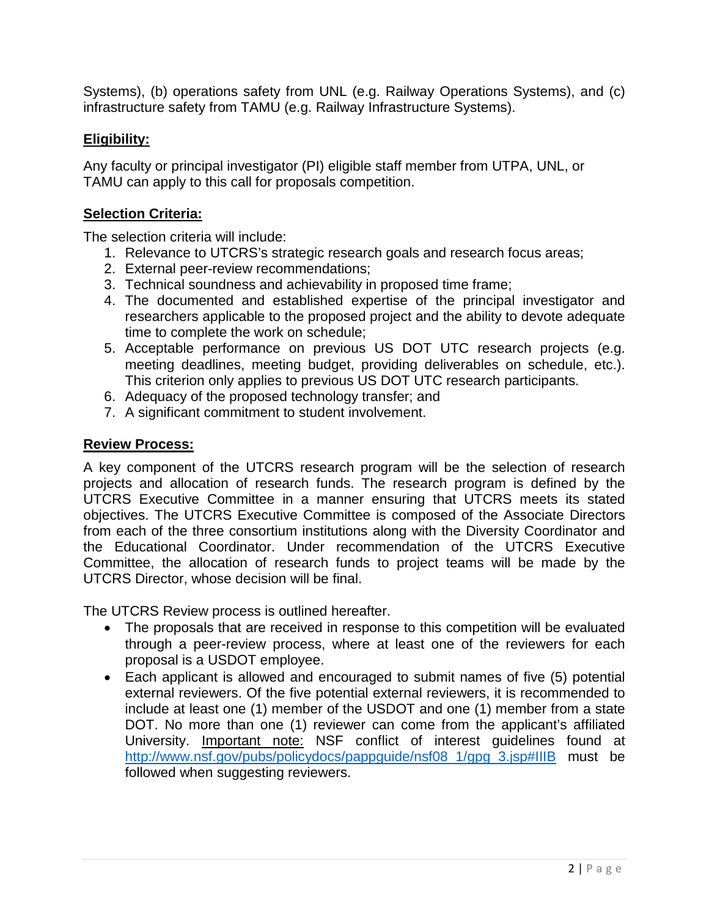Systems), (b) operations safety from UNL (e.g. Railway Operations Systems), and (c) infrastructure safety from TAMU (e.g. Railway Infrastructure Systems).

## **Eligibility:**

Any faculty or principal investigator (PI) eligible staff member from UTPA, UNL, or TAMU can apply to this call for proposals competition.

## **Selection Criteria:**

The selection criteria will include:

- 1. Relevance to UTCRS's strategic research goals and research focus areas;
- 2. External peer-review recommendations;
- 3. Technical soundness and achievability in proposed time frame;
- 4. The documented and established expertise of the principal investigator and researchers applicable to the proposed project and the ability to devote adequate time to complete the work on schedule;
- 5. Acceptable performance on previous US DOT UTC research projects (e.g. meeting deadlines, meeting budget, providing deliverables on schedule, etc.). This criterion only applies to previous US DOT UTC research participants.
- 6. Adequacy of the proposed technology transfer; and
- 7. A significant commitment to student involvement.

#### **Review Process:**

A key component of the UTCRS research program will be the selection of research projects and allocation of research funds. The research program is defined by the UTCRS Executive Committee in a manner ensuring that UTCRS meets its stated objectives. The UTCRS Executive Committee is composed of the Associate Directors from each of the three consortium institutions along with the Diversity Coordinator and the Educational Coordinator. Under recommendation of the UTCRS Executive Committee, the allocation of research funds to project teams will be made by the UTCRS Director, whose decision will be final.

The UTCRS Review process is outlined hereafter.

- The proposals that are received in response to this competition will be evaluated through a peer-review process, where at least one of the reviewers for each proposal is a USDOT employee.
- Each applicant is allowed and encouraged to submit names of five (5) potential external reviewers. Of the five potential external reviewers, it is recommended to include at least one (1) member of the USDOT and one (1) member from a state DOT. No more than one (1) reviewer can come from the applicant's affiliated University. Important note: NSF conflict of interest guidelines found at [http://www.nsf.gov/pubs/policydocs/pappguide/nsf08\\_1/gpg\\_3.jsp#IIIB](http://www.nsf.gov/pubs/policydocs/pappguide/nsf08_1/gpg_3.jsp%23IIIB) must be followed when suggesting reviewers.